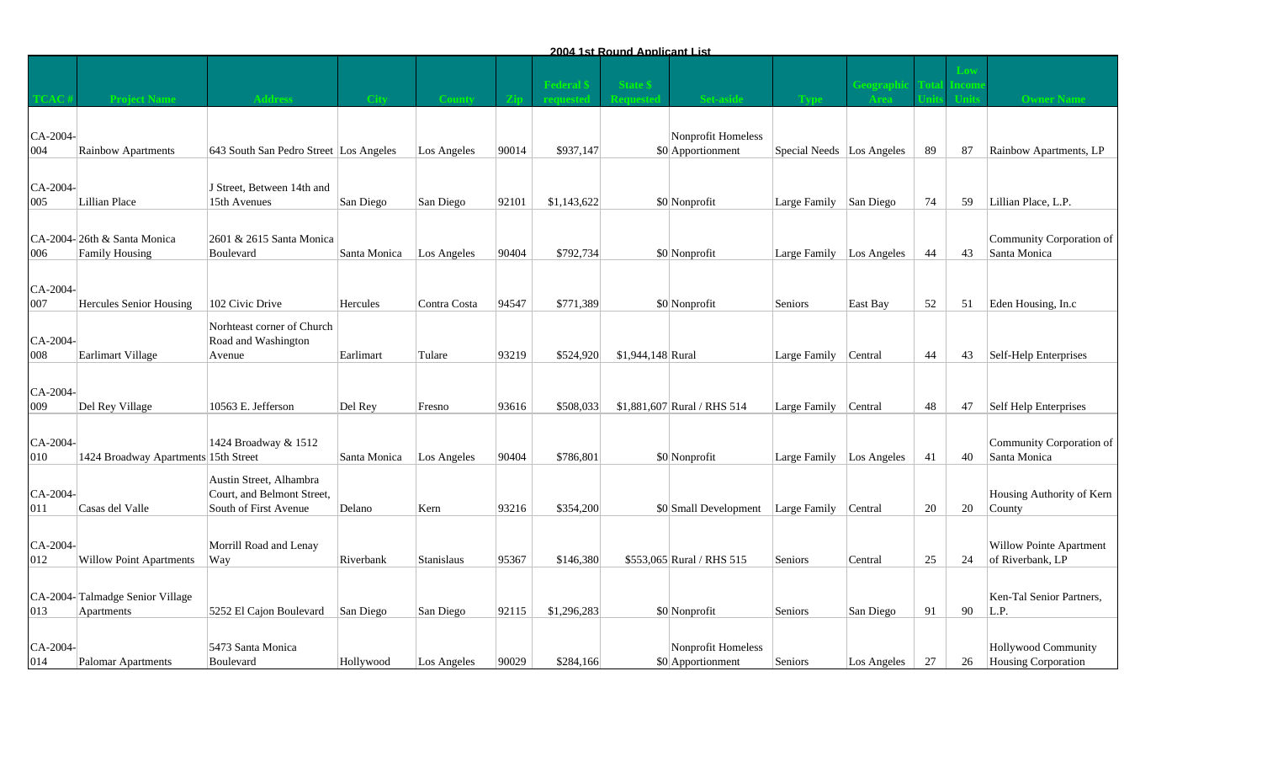|                 |                                               |                                                                                |              |                   |       |             | 2004 1st Round Applicant List |                                         |                            |             |    |                                   |                                                   |
|-----------------|-----------------------------------------------|--------------------------------------------------------------------------------|--------------|-------------------|-------|-------------|-------------------------------|-----------------------------------------|----------------------------|-------------|----|-----------------------------------|---------------------------------------------------|
|                 |                                               |                                                                                | - City       |                   |       | Federal     | <b>State S</b>                |                                         |                            | Feograp     |    | $\overline{\mathbf{c}\mathbf{0}}$ | <b>Owner Name</b>                                 |
| CA-2004-<br>004 | Rainbow Apartments                            | 643 South San Pedro Street Los Angeles                                         |              | Los Angeles       | 90014 | \$937,147   |                               | Nonprofit Homeless<br>\$0 Apportionment | Special Needs Los Angeles  |             | 89 | 87                                | Rainbow Apartments, LP                            |
| CA-2004-<br>005 | Lillian Place                                 | J Street, Between 14th and<br>15th Avenues                                     | San Diego    | San Diego         | 92101 | \$1,143,622 |                               | \$0 Nonprofit                           | Large Family San Diego     |             | 74 | 59                                | Lillian Place, L.P.                               |
| 006             | CA-2004-26th & Santa Monica<br>Family Housing | 2601 & 2615 Santa Monica<br>Boulevard                                          | Santa Monica | Los Angeles       | 90404 | \$792,734   |                               | \$0 Nonprofit                           | Large Family   Los Angeles |             | 44 | 43                                | Community Corporation of<br>Santa Monica          |
| CA-2004-<br>007 | <b>Hercules Senior Housing</b>                | 102 Civic Drive                                                                | Hercules     | Contra Costa      | 94547 | \$771,389   |                               | \$0 Nonprofit                           | Seniors                    | East Bay    | 52 | 51                                | Eden Housing, In.c                                |
| CA-2004-<br>008 | Earlimart Village                             | Norhteast corner of Church<br>Road and Washington<br>Avenue                    | Earlimart    | Tulare            | 93219 | \$524,920   | $$1,944,148$ Rural            |                                         | Large Family               | Central     | 44 | 43                                | Self-Help Enterprises                             |
| CA-2004-<br>009 | Del Rey Village                               | 10563 E. Jefferson                                                             | Del Rey      | Fresno            | 93616 | \$508,033   |                               | \$1,881,607 Rural / RHS 514             | Large Family               | Central     | 48 | 47                                | Self Help Enterprises                             |
| CA-2004-<br>010 | 1424 Broadway Apartments 15th Street          | 1424 Broadway & 1512                                                           | Santa Monica | Los Angeles       | 90404 | \$786,801   |                               | \$0 Nonprofit                           | Large Family               | Los Angeles | 41 | 40                                | Community Corporation of<br>Santa Monica          |
| CA-2004-<br>011 | Casas del Valle                               | Austin Street, Alhambra<br>Court, and Belmont Street,<br>South of First Avenue | Delano       | Kern              | 93216 | \$354,200   |                               | \$0 Small Development Large Family      |                            | Central     | 20 | 20                                | Housing Authority of Kern<br>County               |
| CA-2004-<br>012 | <b>Willow Point Apartments</b>                | Morrill Road and Lenay<br>Way                                                  | Riverbank    | <b>Stanislaus</b> | 95367 | \$146,380   |                               | \$553,065 Rural / RHS 515               | Seniors                    | Central     | 25 | 24                                | Willow Pointe Apartment<br>of Riverbank, LP       |
| 013             | CA-2004-Talmadge Senior Village<br>Apartments | 5252 El Cajon Boulevard                                                        | San Diego    | San Diego         | 92115 | \$1,296,283 |                               | \$0 Nonprofit                           | Seniors                    | San Diego   | 91 | 90                                | Ken-Tal Senior Partners,<br>L.P.                  |
| CA-2004-<br>014 | Palomar Apartments                            | 5473 Santa Monica<br>Boulevard                                                 | Hollywood    | Los Angeles       | 90029 | \$284,166   |                               | Nonprofit Homeless<br>\$0 Apportionment | Seniors                    | Los Angeles | 27 | 26                                | <b>Hollywood Community</b><br>Housing Corporation |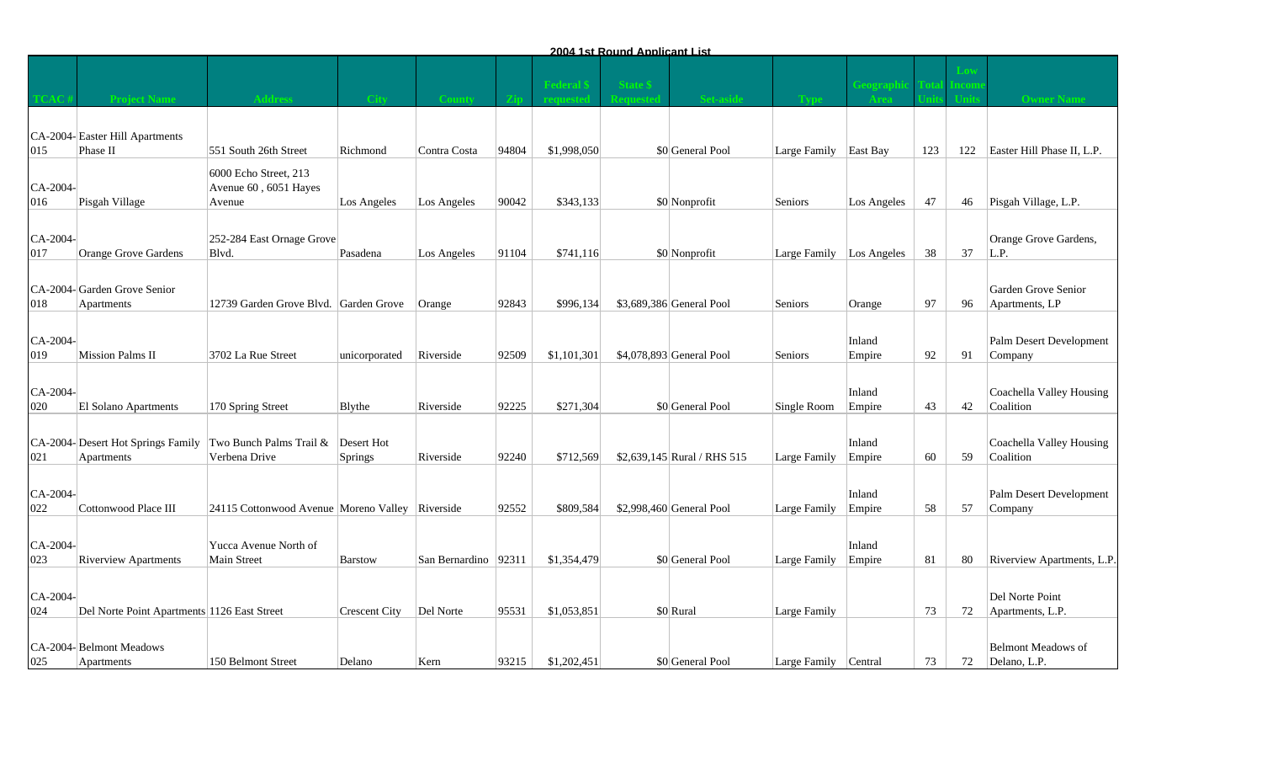|                 |                                                 |                                                          |                              |                        |       |                | 2004 1st Round Applicant List |                              |                          |                  |     |     |                                           |
|-----------------|-------------------------------------------------|----------------------------------------------------------|------------------------------|------------------------|-------|----------------|-------------------------------|------------------------------|--------------------------|------------------|-----|-----|-------------------------------------------|
|                 |                                                 | <b>Address</b>                                           | - City                       |                        |       | <b>Tederal</b> | <b>State \$</b>               |                              |                          | Feograp          |     |     | <b>Owner Name</b>                         |
| 015             | CA-2004-Easter Hill Apartments<br>Phase II      | 551 South 26th Street                                    | Richmond                     | Contra Costa           | 94804 | \$1,998,050    |                               | \$0 General Pool             | Large Family             | East Bay         | 123 | 122 | Easter Hill Phase II, L.P.                |
| CA-2004-<br>016 | Pisgah Village                                  | 6000 Echo Street, 213<br>Avenue 60, 6051 Hayes<br>Avenue | Los Angeles                  | Los Angeles            | 90042 | \$343,133      |                               | \$0 Nonprofit                | Seniors                  | Los Angeles      | 47  | 46  | Pisgah Village, L.P.                      |
| CA-2004-<br>017 | <b>Orange Grove Gardens</b>                     | 252-284 East Ornage Grove<br>Blvd.                       | Pasadena                     | Los Angeles            | 91104 | \$741,116      |                               | \$0 Nonprofit                | Large Family Los Angeles |                  | 38  | 37  | Orange Grove Gardens,<br>L.P.             |
| 018             | CA-2004-Garden Grove Senior<br>Apartments       | 12739 Garden Grove Blvd. Garden Grove                    |                              | Orange                 | 92843 | \$996,134      |                               | \$3,689,386 General Pool     | Seniors                  | Orange           | 97  | 96  | Garden Grove Senior<br>Apartments, LP     |
| CA-2004-<br>019 | Mission Palms II                                | 3702 La Rue Street                                       | unicorporated                | Riverside              | 92509 | \$1,101,301    |                               | \$4,078,893 General Pool     | Seniors                  | Inland<br>Empire | 92  | 91  | Palm Desert Development<br>Company        |
| CA-2004-<br>020 | El Solano Apartments                            | 170 Spring Street                                        | Blythe                       | Riverside              | 92225 | \$271,304      |                               | \$0 General Pool             | Single Room              | Inland<br>Empire | 43  | 42  | Coachella Valley Housing<br>Coalition     |
| 021             | CA-2004-Desert Hot Springs Family<br>Apartments | Two Bunch Palms Trail &<br>Verbena Drive                 | Desert Hot<br><b>Springs</b> | Riverside              | 92240 | \$712,569      |                               | $$2,639,145$ Rural / RHS 515 | Large Family             | Inland<br>Empire | 60  | 59  | Coachella Valley Housing<br>Coalition     |
| CA-2004-<br>022 | Cottonwood Place III                            | 24115 Cottonwood Avenue Moreno Valley Riverside          |                              |                        | 92552 | \$809,584      |                               | \$2,998,460 General Pool     | Large Family             | Inland<br>Empire | 58  | 57  | Palm Desert Development<br>Company        |
| CA-2004-<br>023 | <b>Riverview Apartments</b>                     | Yucca Avenue North of<br>Main Street                     | <b>Barstow</b>               | San Bernardino   92311 |       | \$1,354,479    |                               | \$0 General Pool             | Large Family             | Inland<br>Empire | 81  | 80  | Riverview Apartments, L.P.                |
| CA-2004-<br>024 | Del Norte Point Apartments 1126 East Street     |                                                          | <b>Crescent City</b>         | Del Norte              | 95531 | \$1,053,851    |                               | \$0 Rural                    | Large Family             |                  | 73  | 72  | Del Norte Point<br>Apartments, L.P.       |
| 025             | CA-2004-Belmont Meadows<br>Apartments           | 150 Belmont Street                                       | Delano                       | Kern                   | 93215 | \$1,202,451    |                               | \$0 General Pool             | Large Family Central     |                  | 73  | 72  | <b>Belmont Meadows of</b><br>Delano, L.P. |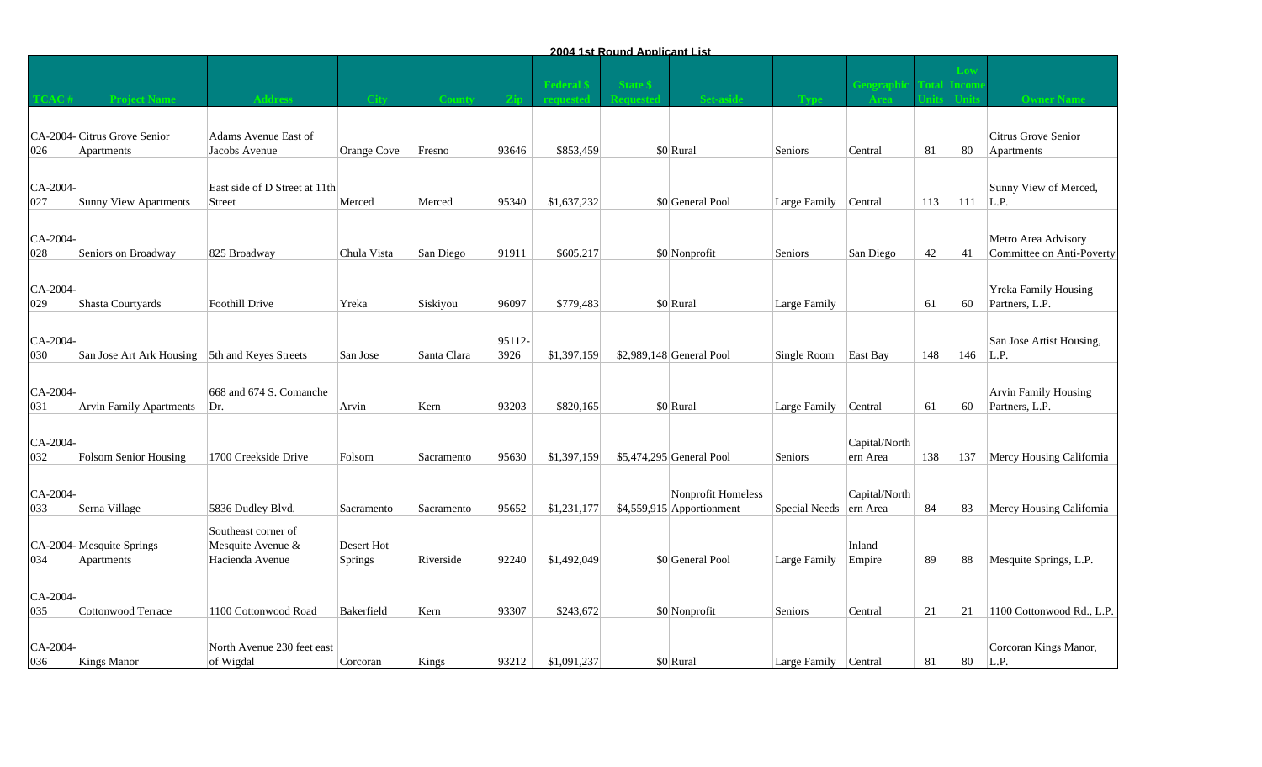|                 |                                                |                                                    |             |             |                |             | <u>2004 1st Round Applicant List</u> |                                                 |               |                           |     |     |                                                    |
|-----------------|------------------------------------------------|----------------------------------------------------|-------------|-------------|----------------|-------------|--------------------------------------|-------------------------------------------------|---------------|---------------------------|-----|-----|----------------------------------------------------|
|                 |                                                |                                                    | - City      |             |                | Federal     | State \$                             |                                                 |               | reograp                   |     |     |                                                    |
| 026             | CA-2004-Citrus Grove Senior<br>Apartments      | Adams Avenue East of<br>Jacobs Avenue              | Orange Cove | Fresno      | 93646          | \$853,459   |                                      | \$0 Rural                                       | Seniors       | Central                   | 81  | 80  | Citrus Grove Senior<br>Apartments                  |
| CA-2004-<br>027 | Sunny View Apartments                          | East side of D Street at 11th<br><b>Street</b>     | Merced      | Merced      | 95340          | \$1,637,232 |                                      | \$0 General Pool                                | Large Family  | Central                   | 113 | 111 | Sunny View of Merced,<br>L.P.                      |
| CA-2004-<br>028 | Seniors on Broadway                            | 825 Broadway                                       | Chula Vista | San Diego   | 91911          | \$605,217   |                                      | \$0 Nonprofit                                   | Seniors       | San Diego                 | 42  | 41  | Metro Area Advisory<br>Committee on Anti-Poverty   |
| CA-2004-<br>029 | Shasta Courtyards                              | <b>Foothill Drive</b>                              | Yreka       | Siskiyou    | 96097          | \$779,483   |                                      | \$0 Rural                                       | Large Family  |                           | 61  | 60  | <b>Yreka Family Housing</b><br>Partners, L.P.      |
| CA-2004-<br>030 | San Jose Art Ark Housing 5th and Keyes Streets |                                                    | San Jose    | Santa Clara | 95112-<br>3926 | \$1,397,159 |                                      | $$2,989,148$ General Pool                       | Single Room   | East Bay                  | 148 | 146 | San Jose Artist Housing,<br>L.P.                   |
| CA-2004-<br>031 | <b>Arvin Family Apartments</b>                 | 668 and 674 S. Comanche<br>Dr.                     | Arvin       | Kern        | 93203          | \$820,165   |                                      | \$0 Rural                                       | Large Family  | Central                   | 61  | 60  | Arvin Family Housing<br>Partners, L.P.             |
| CA-2004-<br>032 | Folsom Senior Housing                          | 1700 Creekside Drive                               | Folsom      | Sacramento  | 95630          | \$1,397,159 |                                      | \$5,474,295 General Pool                        | Seniors       | Capital/North<br>ern Area | 138 | 137 | Mercy Housing California                           |
| CA-2004-<br>033 | Serna Village                                  | 5836 Dudley Blvd.                                  | Sacramento  | Sacramento  | 95652          | \$1,231,177 |                                      | Nonprofit Homeless<br>\$4,559,915 Apportionment | Special Needs | Capital/North<br>ern Area | 84  | 83  | Mercy Housing California                           |
|                 | CA-2004-Mesquite Springs                       | Southeast corner of<br>Mesquite Avenue &           | Desert Hot  |             |                |             |                                      |                                                 |               | Inland                    |     |     |                                                    |
| 034<br>CA-2004- | Apartments                                     | Hacienda Avenue                                    | Springs     | Riverside   | 92240          | \$1,492,049 |                                      | \$0 General Pool                                | Large Family  | Empire                    | 89  | 88  | Mesquite Springs, L.P.                             |
| 035<br>CA-2004- | Cottonwood Terrace                             | 1100 Cottonwood Road<br>North Avenue 230 feet east | Bakerfield  | Kern        | 93307          | \$243,672   |                                      | \$0 Nonprofit                                   | Seniors       | Central                   | 21  | 21  | 1100 Cottonwood Rd., L.P.<br>Corcoran Kings Manor, |
| 036             | <b>Kings Manor</b>                             | of Wigdal                                          | Corcoran    | Kings       | 93212          | \$1,091,237 |                                      | \$0 Rural                                       | Large Family  | Central                   | 81  | 80  | L.P.                                               |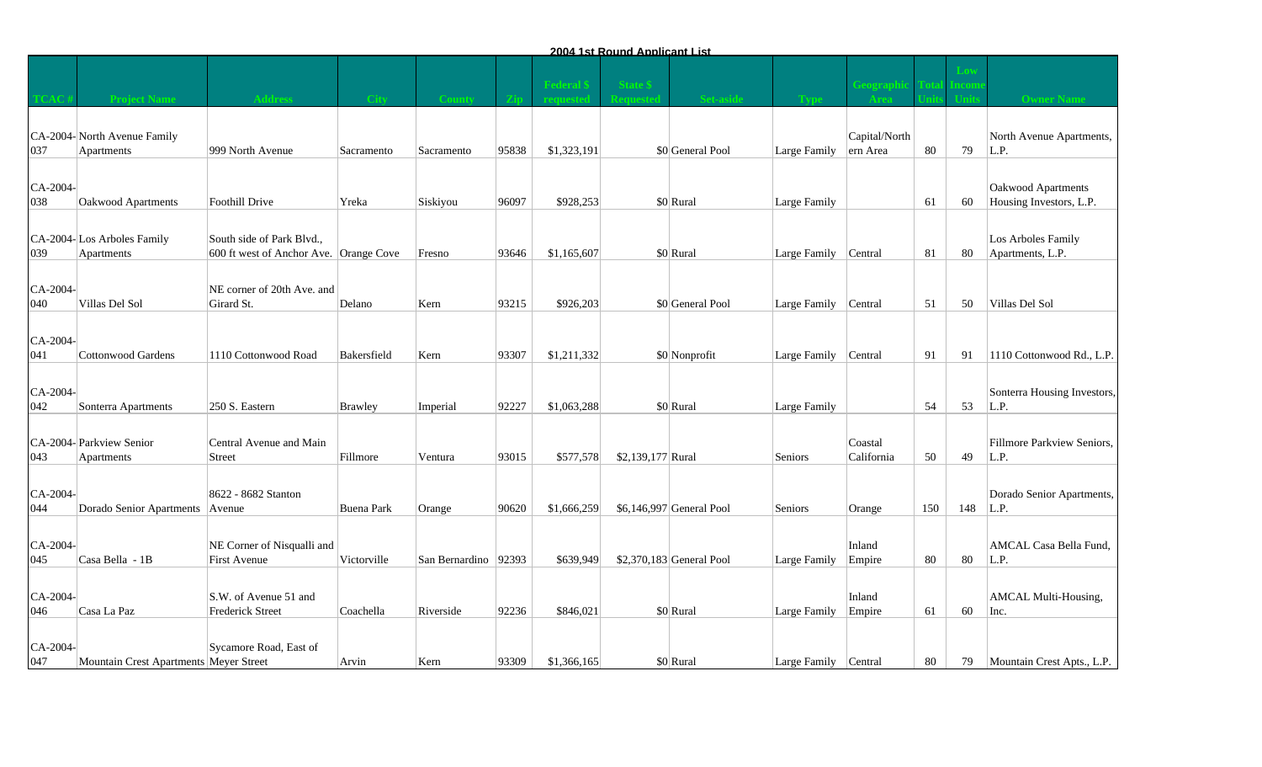|                 |                                           |                                                                     |                   |                        |       |             | 2004 1st Round Applicant List |                           |                      |                           |     |     |                                               |
|-----------------|-------------------------------------------|---------------------------------------------------------------------|-------------------|------------------------|-------|-------------|-------------------------------|---------------------------|----------------------|---------------------------|-----|-----|-----------------------------------------------|
|                 |                                           |                                                                     | - City            |                        |       | Federal     | State \$                      |                           |                      |                           |     |     |                                               |
| 037             | CA-2004-North Avenue Family<br>Apartments | 999 North Avenue                                                    | Sacramento        | Sacramento             | 95838 | \$1,323,191 |                               | \$0 General Pool          | Large Family         | Capital/North<br>ern Area | 80  | 79  | North Avenue Apartments,<br>L.P.              |
| CA-2004-<br>038 | Oakwood Apartments                        | Foothill Drive                                                      | Yreka             | Siskiyou               | 96097 | \$928,253   |                               | \$0 Rural                 | Large Family         |                           | 61  | 60  | Oakwood Apartments<br>Housing Investors, L.P. |
| 039             | CA-2004-Los Arboles Family<br>Apartments  | South side of Park Blvd.,<br>600 ft west of Anchor Ave. Orange Cove |                   | Fresno                 | 93646 | \$1,165,607 |                               | \$0 Rural                 | Large Family Central |                           | 81  | 80  | Los Arboles Family<br>Apartments, L.P.        |
| CA-2004-<br>040 | Villas Del Sol                            | NE corner of 20th Ave. and<br>Girard St.                            | Delano            | Kern                   | 93215 | \$926,203   |                               | \$0 General Pool          | Large Family Central |                           | 51  | 50  | Villas Del Sol                                |
| CA-2004-<br>041 | Cottonwood Gardens                        | 1110 Cottonwood Road                                                | Bakersfield       | Kern                   | 93307 | \$1,211,332 |                               | \$0 Nonprofit             | Large Family         | Central                   | 91  | 91  | 1110 Cottonwood Rd., L.P.                     |
| CA-2004-<br>042 | Sonterra Apartments                       | 250 S. Eastern                                                      | <b>Brawley</b>    | Imperial               | 92227 | \$1,063,288 |                               | \$0 Rural                 | Large Family         |                           | 54  | 53  | Sonterra Housing Investors,<br>L.P.           |
| 043             | CA-2004- Parkview Senior<br>Apartments    | Central Avenue and Main<br><b>Street</b>                            | Fillmore          | Ventura                | 93015 | \$577,578   | \$2,139,177 Rural             |                           | Seniors              | Coastal<br>California     | 50  | 49  | Fillmore Parkview Seniors,<br>L.P.            |
| CA-2004-<br>044 | Dorado Senior Apartments   Avenue         | 8622 - 8682 Stanton                                                 | <b>Buena Park</b> | Orange                 | 90620 | \$1,666,259 |                               | \$6,146,997 General Pool  | Seniors              | Orange                    | 150 | 148 | Dorado Senior Apartments,<br>L.P.             |
| CA-2004-<br>045 | Casa Bella - 1B                           | NE Corner of Nisqualli and<br>First Avenue                          | Victorville       | San Bernardino   92393 |       | \$639,949   |                               | $$2,370,183$ General Pool | Large Family         | Inland<br>Empire          | 80  | 80  | AMCAL Casa Bella Fund,<br>L.P.                |
| CA-2004-<br>046 | Casa La Paz                               | S.W. of Avenue 51 and<br><b>Frederick Street</b>                    | Coachella         | Riverside              | 92236 | \$846,021   |                               | \$0 Rural                 | Large Family         | Inland<br>Empire          | 61  | 60  | <b>AMCAL Multi-Housing,</b><br>Inc.           |
| CA-2004-<br>047 | Mountain Crest Apartments Meyer Street    | Sycamore Road, East of                                              | Arvin             | Kern                   | 93309 | \$1,366,165 |                               | \$0 Rural                 | Large Family Central |                           | 80  | 79  | Mountain Crest Apts., L.P.                    |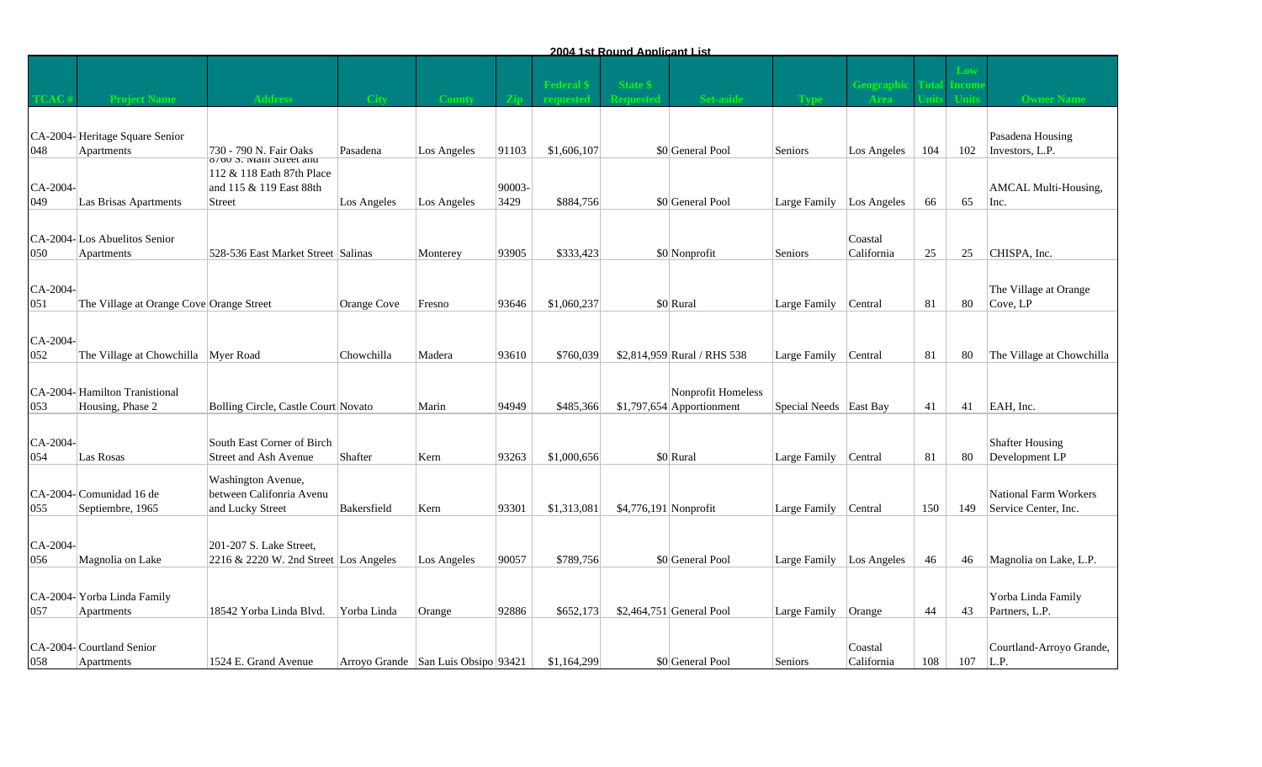|                 |                                                      |                                                                                           |             |                                               |                |             | <u>2004 1st Round Applicant List</u> |                                                  |                        |                                 |     |           |                                                      |
|-----------------|------------------------------------------------------|-------------------------------------------------------------------------------------------|-------------|-----------------------------------------------|----------------|-------------|--------------------------------------|--------------------------------------------------|------------------------|---------------------------------|-----|-----------|------------------------------------------------------|
|                 |                                                      |                                                                                           |             |                                               |                | Federal     | <b>State \$</b>                      |                                                  |                        |                                 |     |           |                                                      |
| 048             | CA-2004-Heritage Square Senior<br>Apartments         | 730 - 790 N. Fair Oaks                                                                    | Pasadena    | Los Angeles                                   | 91103          | \$1,606,107 |                                      | \$0 General Pool                                 | Seniors                | Los Angeles                     | 104 | 102       | Pasadena Housing<br>Investors, L.P.                  |
| CA-2004-<br>049 | Las Brisas Apartments                                | 8/00 S. Main Street and<br>112 & 118 Eath 87th Place<br>and 115 & 119 East 88th<br>Street | Los Angeles | Los Angeles                                   | 90003-<br>3429 | \$884,756   |                                      | \$0 General Pool                                 | Large Family           | Los Angeles                     | 66  | 65        | AMCAL Multi-Housing,<br>Inc.                         |
| 050             | CA-2004-Los Abuelitos Senior<br>Apartments           | 528-536 East Market Street Salinas                                                        |             | Monterey                                      | 93905          | \$333,423   |                                      | \$0 Nonprofit                                    | Seniors                | Coastal<br>California           | 25  | 25        | CHISPA, Inc.                                         |
| CA-2004-<br>051 | The Village at Orange Cove Orange Street             |                                                                                           | Orange Cove | Fresno                                        | 93646          | \$1,060,237 |                                      | \$0 Rural                                        | Large Family           | Central                         | 81  | 80        | The Village at Orange<br>Cove, LP                    |
| CA-2004-<br>052 | The Village at Chowchilla                            | Myer Road                                                                                 | Chowchilla  | Madera                                        | 93610          | \$760,039   |                                      | \$2,814,959 Rural / RHS 538                      | Large Family           | Central                         | 81  | 80        | The Village at Chowchilla                            |
| 053             | CA-2004-Hamilton Tranistional<br>Housing, Phase 2    | Bolling Circle, Castle Court Novato                                                       |             | Marin                                         | 94949          | \$485,366   |                                      | Nonprofit Homeless<br>$$1,797,654$ Apportionment | Special Needs East Bay |                                 | 41  | 41        | EAH, Inc.                                            |
| CA-2004-<br>054 | Las Rosas                                            | South East Corner of Birch<br>Street and Ash Avenue                                       | Shafter     | Kern                                          | 93263          | \$1,000,656 |                                      | \$0 Rural                                        | Large Family           | Central                         | 81  | 80        | <b>Shafter Housing</b><br>Development LP             |
| 055             | CA-2004-Comunidad 16 de<br>Septiembre, 1965          | Washington Avenue,<br>between Califonria Avenu<br>and Lucky Street                        | Bakersfield | Kern                                          | 93301          | \$1,313,081 | \$4,776,191 Nonprofit                |                                                  | Large Family           | Central                         | 150 | 149       | <b>National Farm Workers</b><br>Service Center, Inc. |
| CA-2004-<br>056 | Magnolia on Lake                                     | 201-207 S. Lake Street,<br>2216 & 2220 W. 2nd Street Los Angeles                          |             | Los Angeles                                   | 90057          | \$789,756   |                                      | \$0 General Pool                                 | Large Family           | Los Angeles                     | 46  | 46        | Magnolia on Lake, L.P.                               |
| 057             | CA-2004-Yorba Linda Family                           | 18542 Yorba Linda Blvd.                                                                   |             |                                               | 92886          | \$652,173   |                                      | $$2,464,751$ General Pool                        | Large Family           |                                 | 44  |           | Yorba Linda Family<br>Partners, L.P.                 |
| 058             | Apartments<br>CA-2004-Courtland Senior<br>Apartments | 1524 E. Grand Avenue                                                                      | Yorba Linda | Orange<br>Arroyo Grande San Luis Obsipo 93421 |                | \$1,164,299 |                                      | \$0 General Pool                                 | Seniors                | Orange<br>Coastal<br>California | 108 | 43<br>107 | Courtland-Arroyo Grande,<br> L.P.                    |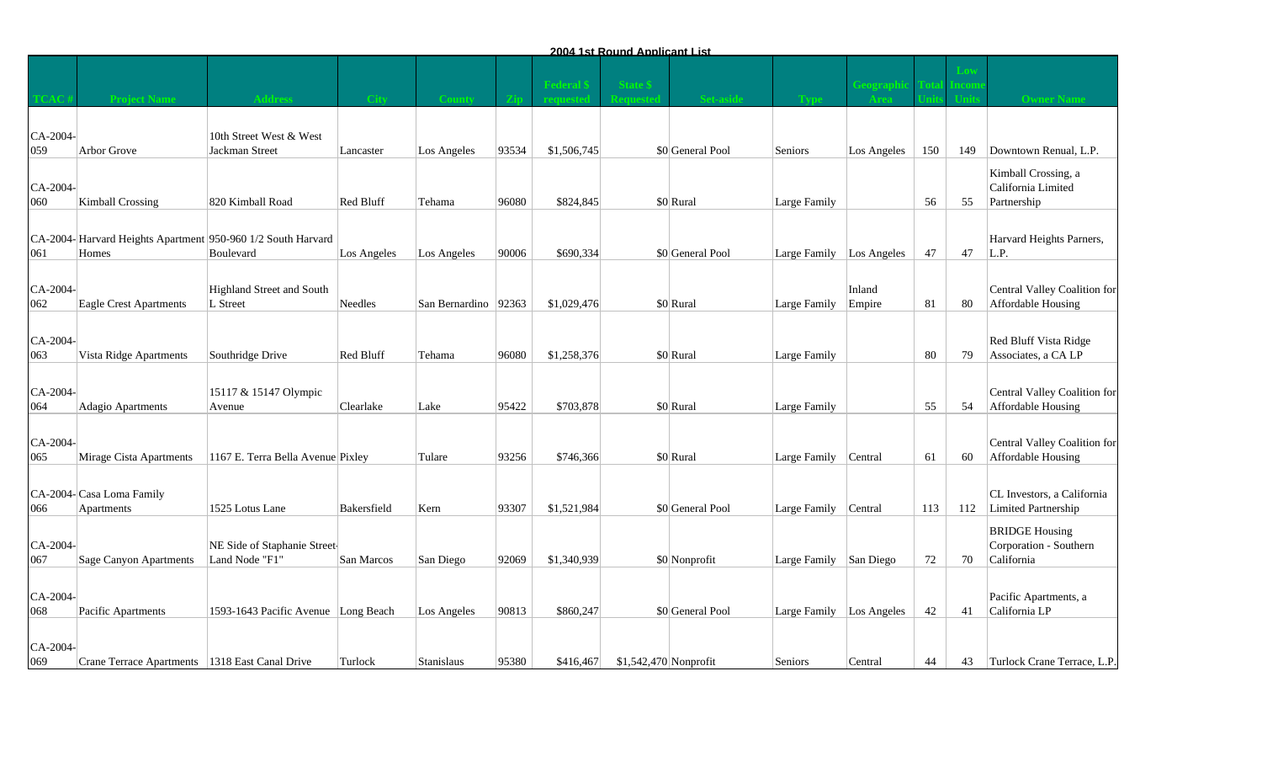|                 |                                                             |                                     |                |                        |       |                | 2004 1st Round Applicant List |                  |                          |             |     |            |                                              |
|-----------------|-------------------------------------------------------------|-------------------------------------|----------------|------------------------|-------|----------------|-------------------------------|------------------|--------------------------|-------------|-----|------------|----------------------------------------------|
|                 |                                                             |                                     |                |                        |       |                |                               |                  |                          |             |     |            |                                              |
|                 |                                                             |                                     |                |                        |       | <b>Federal</b> | <b>State \$</b>               |                  |                          | eograp      |     | <b>COI</b> |                                              |
|                 | <b>Project Name</b>                                         |                                     | <b>City</b>    |                        |       |                |                               |                  |                          |             |     |            | <b>Owner Name</b>                            |
|                 |                                                             | 10th Street West & West             |                |                        |       |                |                               |                  |                          |             |     |            |                                              |
| CA-2004-<br>059 | Arbor Grove                                                 | Jackman Street                      | Lancaster      | Los Angeles            | 93534 | \$1,506,745    |                               | \$0 General Pool | Seniors                  | Los Angeles | 150 | 149        | Downtown Renual, L.P.                        |
|                 |                                                             |                                     |                |                        |       |                |                               |                  |                          |             |     |            |                                              |
| CA-2004-        |                                                             |                                     |                |                        |       |                |                               |                  |                          |             |     |            | Kimball Crossing, a<br>California Limited    |
| 060             | Kimball Crossing                                            | 820 Kimball Road                    | Red Bluff      | Tehama                 | 96080 | \$824,845      |                               | \$0 Rural        | Large Family             |             | 56  | 55         | Partnership                                  |
|                 |                                                             |                                     |                |                        |       |                |                               |                  |                          |             |     |            |                                              |
|                 | CA-2004-Harvard Heights Apartment 950-960 1/2 South Harvard |                                     |                |                        |       |                |                               |                  |                          |             |     |            | Harvard Heights Parners,                     |
| 061             | Homes                                                       | Boulevard                           | Los Angeles    | Los Angeles            | 90006 | \$690,334      |                               | \$0 General Pool | Large Family Los Angeles |             | 47  | 47         | L.P.                                         |
|                 |                                                             |                                     |                |                        |       |                |                               |                  |                          |             |     |            |                                              |
| CA-2004-        |                                                             | Highland Street and South           |                |                        |       |                |                               |                  |                          | Inland      |     |            | Central Valley Coalition for                 |
| 062             | Eagle Crest Apartments                                      | L Street                            | <b>Needles</b> | San Bernardino   92363 |       | \$1,029,476    |                               | \$0 Rural        | Large Family             | Empire      | 81  | -80        | Affordable Housing                           |
|                 |                                                             |                                     |                |                        |       |                |                               |                  |                          |             |     |            |                                              |
| CA-2004-<br>063 | Vista Ridge Apartments                                      | Southridge Drive                    | Red Bluff      | Tehama                 | 96080 | \$1,258,376    |                               | \$0 Rural        | Large Family             |             | 80  | 79         | Red Bluff Vista Ridge<br>Associates, a CA LP |
|                 |                                                             |                                     |                |                        |       |                |                               |                  |                          |             |     |            |                                              |
| CA-2004-        |                                                             | 15117 & 15147 Olympic               |                |                        |       |                |                               |                  |                          |             |     |            | Central Valley Coalition for                 |
| 064             | Adagio Apartments                                           | Avenue                              | Clearlake      | Lake                   | 95422 | \$703,878      |                               | \$0 Rural        | Large Family             |             | 55  | 54         | Affordable Housing                           |
|                 |                                                             |                                     |                |                        |       |                |                               |                  |                          |             |     |            |                                              |
| CA-2004-        |                                                             |                                     |                |                        |       |                |                               |                  |                          |             |     |            | Central Valley Coalition for                 |
| 065             | Mirage Cista Apartments                                     | 1167 E. Terra Bella Avenue Pixley   |                | Tulare                 | 93256 | \$746,366      |                               | \$0 Rural        | Large Family             | Central     | 61  | 60         | Affordable Housing                           |
|                 |                                                             |                                     |                |                        |       |                |                               |                  |                          |             |     |            |                                              |
|                 | CA-2004-Casa Loma Family                                    |                                     |                |                        |       |                |                               |                  |                          |             |     |            | CL Investors, a California                   |
| 066             | Apartments                                                  | 1525 Lotus Lane                     | Bakersfield    | Kern                   | 93307 | \$1,521,984    |                               | \$0 General Pool | Large Family Central     |             | 113 | 112        | Limited Partnership                          |
|                 |                                                             |                                     |                |                        |       |                |                               |                  |                          |             |     |            | <b>BRIDGE Housing</b>                        |
| CA-2004-        |                                                             | NE Side of Staphanie Street-        |                |                        |       |                |                               |                  |                          |             |     |            | Corporation - Southern                       |
| 067             | Sage Canyon Apartments                                      | Land Node "F1"                      | San Marcos     | San Diego              | 92069 | \$1,340,939    |                               | \$0 Nonprofit    | Large Family San Diego   |             | 72  | 70         | California                                   |
|                 |                                                             |                                     |                |                        |       |                |                               |                  |                          |             |     |            |                                              |
| CA-2004-<br>068 | Pacific Apartments                                          | 1593-1643 Pacific Avenue Long Beach |                | Los Angeles            | 90813 | \$860,247      |                               | \$0 General Pool | Large Family Los Angeles |             | 42  | 41         | Pacific Apartments, a<br>California LP       |
|                 |                                                             |                                     |                |                        |       |                |                               |                  |                          |             |     |            |                                              |
| CA-2004-        |                                                             |                                     |                |                        |       |                |                               |                  |                          |             |     |            |                                              |
| 069             | Crane Terrace Apartments   1318 East Canal Drive            |                                     | Turlock        | Stanislaus             | 95380 | \$416,467      | $$1,542,470$ Nonprofit        |                  | Seniors                  | Central     | 44  | 43         | Turlock Crane Terrace, L.P.                  |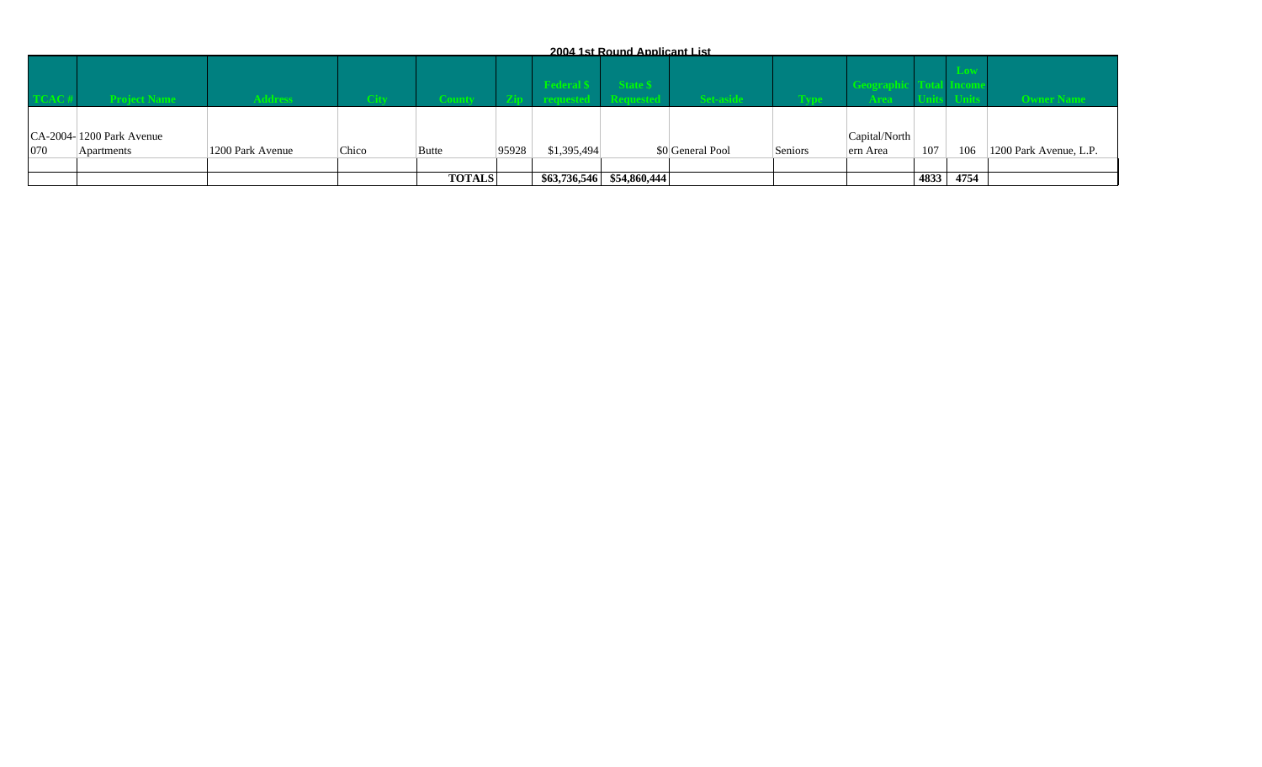|     |                            |                  |        |               |       |             | 2004 1st Round Applicant List |                  |         |               |      |      |                        |
|-----|----------------------------|------------------|--------|---------------|-------|-------------|-------------------------------|------------------|---------|---------------|------|------|------------------------|
|     |                            |                  |        |               |       | edera       |                               |                  |         | ograp         |      |      |                        |
|     | <b>Project Name</b>        | <b>Address</b>   | - City |               |       |             |                               | <b>Set-aside</b> |         |               |      |      | <b>Owner Name</b>      |
|     |                            |                  |        |               |       |             |                               |                  |         |               |      |      |                        |
|     | $CA-2004-1200$ Park Avenue |                  |        |               |       |             |                               |                  |         | Capital/North |      |      |                        |
| 070 | Apartments                 | 1200 Park Avenue | Chico  | Butte         | 95928 | \$1,395,494 |                               | \$0 General Pool | Seniors | ern Area      | 107  | 106  | 1200 Park Avenue, L.P. |
|     |                            |                  |        |               |       |             |                               |                  |         |               |      |      |                        |
|     |                            |                  |        | <b>TOTALS</b> |       |             | $$63,736,546$ $$54,860,444$   |                  |         |               | 4833 | 4754 |                        |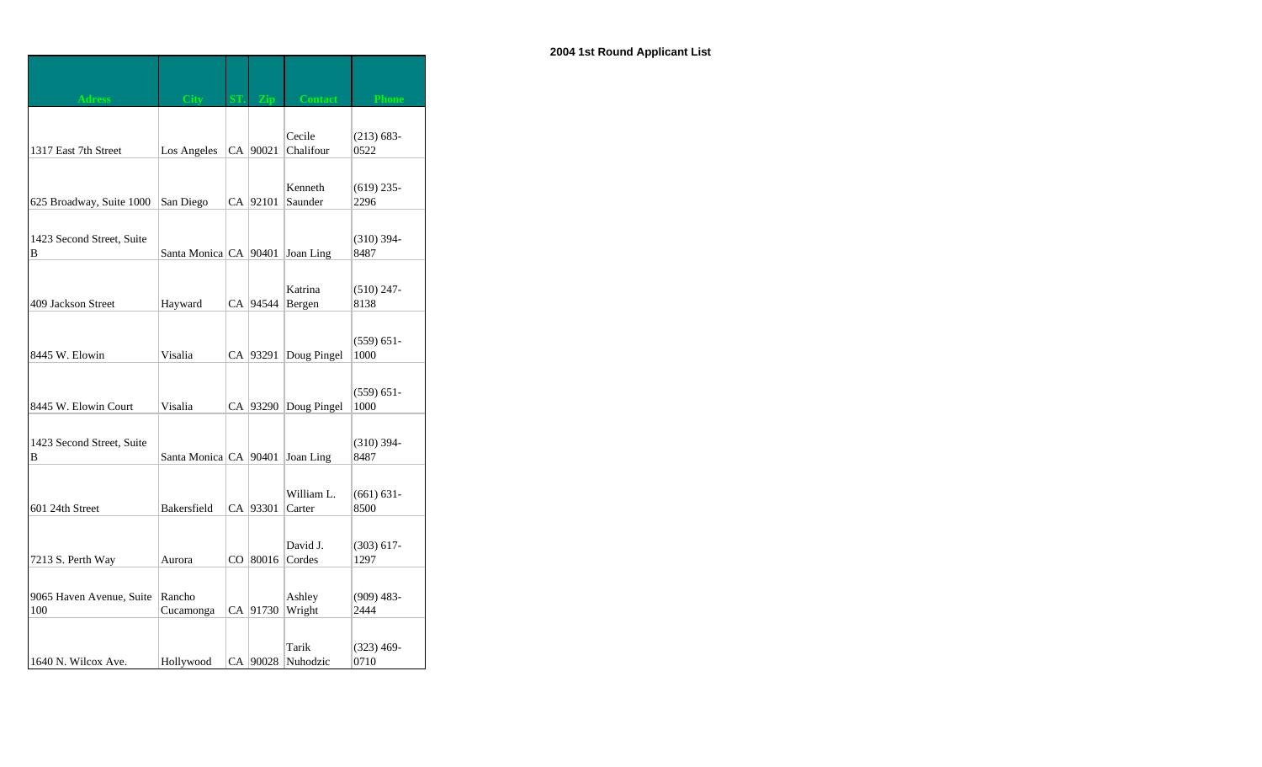| <b>Adress</b>                   | City                    |            | <b>Contact</b>      | <b>Phone</b>          |
|---------------------------------|-------------------------|------------|---------------------|-----------------------|
|                                 |                         |            |                     |                       |
| 1317 East 7th Street            | Los Angeles             | CA   90021 | Cecile<br>Chalifour | $(213) 683 -$<br>0522 |
|                                 |                         |            |                     |                       |
|                                 |                         |            | Kenneth             | $(619)$ 235-          |
| 625 Broadway, Suite 1000        | San Diego               | CA   92101 | Saunder             | 2296                  |
|                                 |                         |            |                     |                       |
| 1423 Second Street, Suite<br>B  | Santa Monica CA   90401 |            | Joan Ling           | $(310)$ 394-<br>8487  |
|                                 |                         |            |                     |                       |
|                                 |                         |            | Katrina             | $(510)$ 247-          |
| 409 Jackson Street              | Hayward                 | CA  94544  | Bergen              | 8138                  |
|                                 |                         |            |                     | $(559) 651 -$         |
| 8445 W. Elowin                  | Visalia                 | CA   93291 | Doug Pingel         | 1000                  |
|                                 |                         |            |                     |                       |
|                                 |                         |            |                     | $(559) 651 -$         |
| 8445 W. Elowin Court            | Visalia                 | CA   93290 | Doug Pingel         | 1000                  |
| 1423 Second Street, Suite       |                         |            |                     | $(310)$ 394-          |
| B                               | Santa Monica CA 90401   |            | Joan Ling           | 8487                  |
|                                 |                         |            |                     |                       |
|                                 |                         | CA 93301   | William L.          | $(661) 631 -$         |
| 601 24th Street                 | Bakersfield             |            | Carter              | 8500                  |
|                                 |                         |            | David J.            | $(303)$ 617-          |
| 7213 S. Perth Way               | Aurora                  | CO 80016   | Cordes              | 1297                  |
|                                 |                         |            |                     |                       |
| 9065 Haven Avenue, Suite<br>100 | Rancho<br>Cucamonga     | CA 91730   | Ashley<br>Wright    | $(909)$ 483-<br>2444  |
|                                 |                         |            |                     |                       |
|                                 |                         |            | Tarik               | $(323)$ 469-          |
| 1640 N. Wilcox Ave.             | Hollywood               | CA 90028   | Nuhodzic            | 0710                  |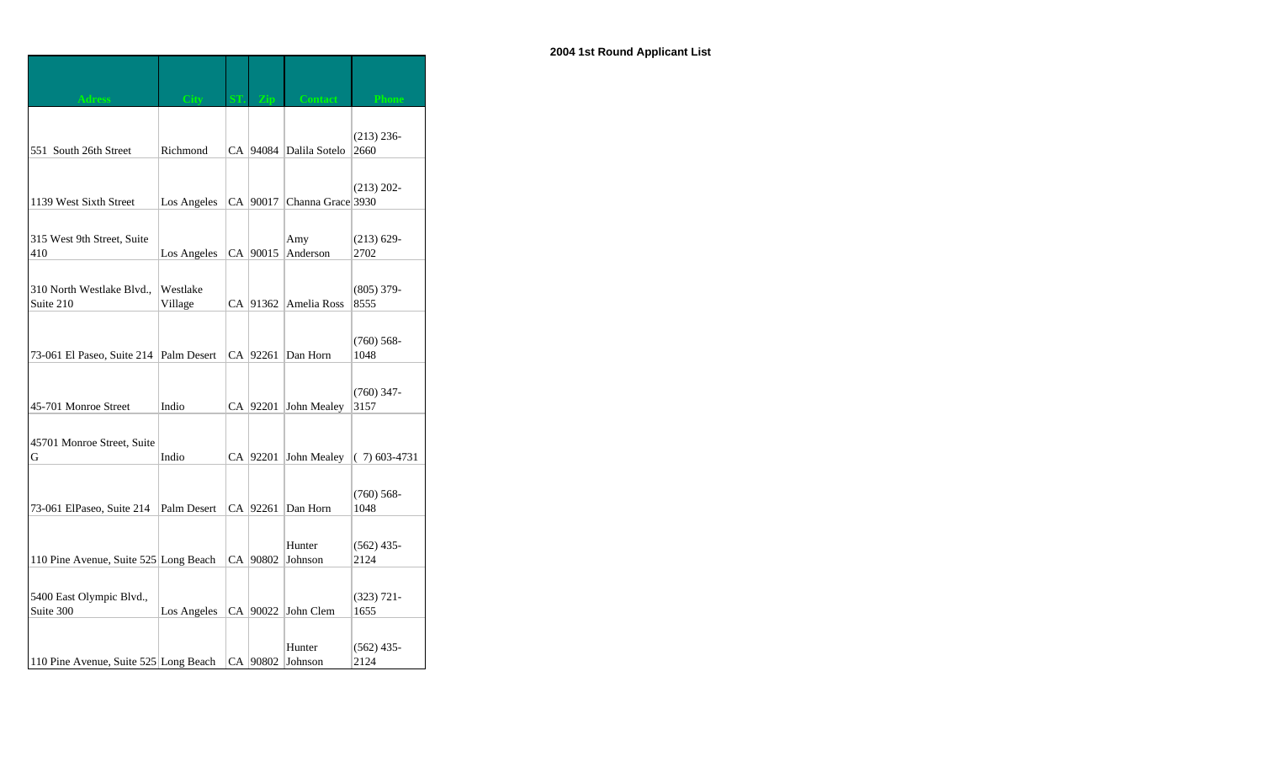| <b>Adress</b>                         | <b>City</b> | <b>Zin</b> | <b>Contact</b>             | <b>Phone</b>   |
|---------------------------------------|-------------|------------|----------------------------|----------------|
|                                       |             |            |                            |                |
|                                       |             |            |                            | $(213) 236 -$  |
| 551 South 26th Street                 | Richmond    |            | CA   94084   Dalila Sotelo | 2660           |
|                                       |             |            |                            |                |
|                                       |             |            |                            | $(213) 202 -$  |
| 1139 West Sixth Street                | Los Angeles | CA 90017   | Channa Grace 3930          |                |
|                                       |             |            |                            |                |
| 315 West 9th Street, Suite            |             |            | Amy                        | $(213) 629 -$  |
| 410                                   | Los Angeles | CA   90015 | Anderson                   | 2702           |
|                                       |             |            |                            |                |
| 310 North Westlake Blvd.,             | Westlake    |            |                            | $(805)$ 379-   |
| Suite 210                             | Village     | CA 91362   | Amelia Ross                | 8555           |
|                                       |             |            |                            |                |
|                                       |             |            |                            | $(760) 568 -$  |
| 73-061 El Paseo, Suite 214            | Palm Desert | CA 92261   | Dan Horn                   | 1048           |
|                                       |             |            |                            |                |
|                                       |             |            |                            | $(760)$ 347-   |
| 45-701 Monroe Street                  | Indio       | CA   92201 | John Mealey                | 3157           |
|                                       |             |            |                            |                |
| 45701 Monroe Street, Suite            |             |            |                            |                |
| G                                     | Indio       | CA   92201 | John Mealey                | $(7)$ 603-4731 |
|                                       |             |            |                            |                |
|                                       |             |            |                            | $(760) 568 -$  |
| 73-061 ElPaseo, Suite 214             | Palm Desert | CA 92261   | Dan Horn                   | 1048           |
|                                       |             |            |                            |                |
|                                       |             |            | Hunter                     | $(562)$ 435-   |
| 110 Pine Avenue, Suite 525 Long Beach |             | CA 90802   | Johnson                    | 2124           |
|                                       |             |            |                            |                |
| 5400 East Olympic Blvd.,              |             |            |                            | $(323)$ 721-   |
| Suite 300                             | Los Angeles | CA 90022   | John Clem                  | 1655           |
|                                       |             |            |                            |                |
|                                       |             |            | Hunter                     | $(562)$ 435-   |
| 110 Pine Avenue, Suite 525 Long Beach |             | CA   90802 | Johnson                    | 2124           |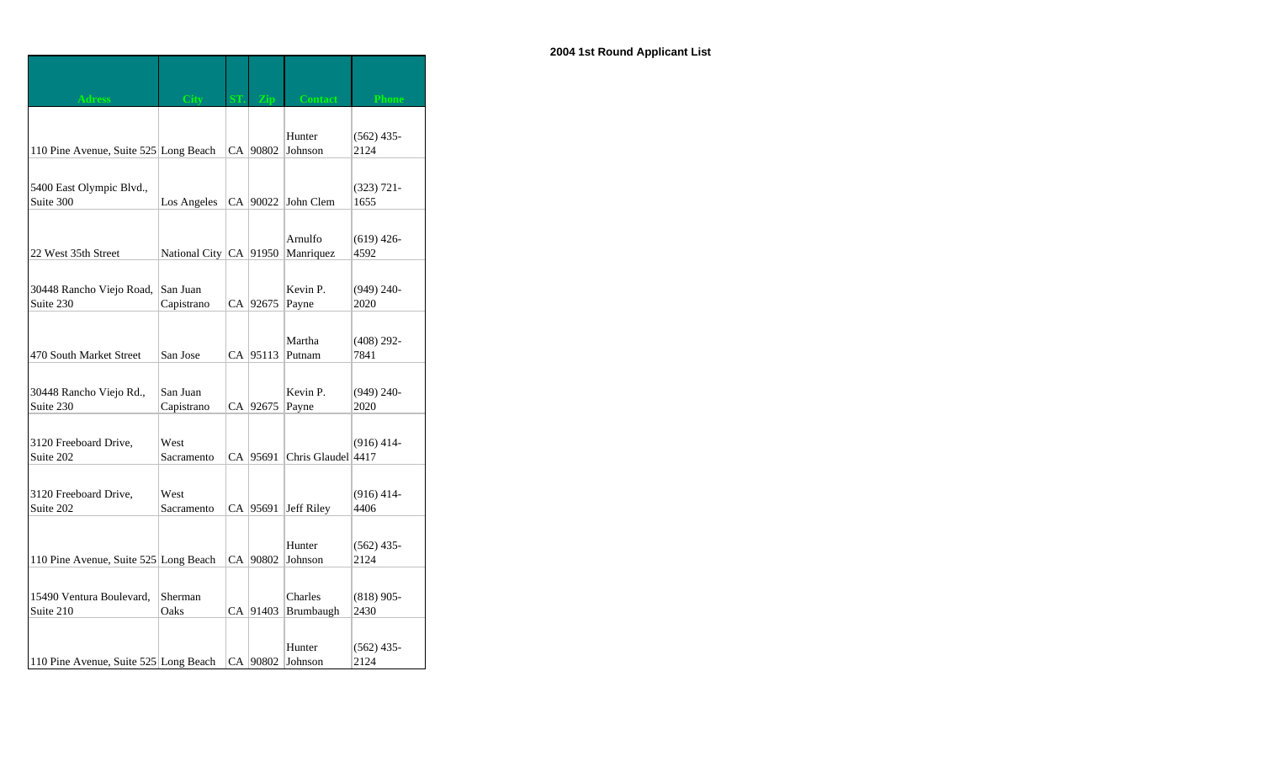| <b>Adress</b>                         | City                       | Zin        | <b>Contact</b>     | <b>Phone</b>         |
|---------------------------------------|----------------------------|------------|--------------------|----------------------|
|                                       |                            |            |                    |                      |
|                                       |                            |            | Hunter             | $(562)$ 435-         |
| 110 Pine Avenue, Suite 525 Long Beach |                            | CA   90802 | Johnson            | 2124                 |
|                                       |                            |            |                    |                      |
| 5400 East Olympic Blvd.,              |                            |            |                    | $(323) 721 -$        |
| Suite 300                             | Los Angeles                | CA   90022 | John Clem          | 1655                 |
|                                       |                            |            |                    |                      |
|                                       |                            |            | Arnulfo            | $(619)$ 426-         |
| 22 West 35th Street                   | National City   CA   91950 |            | Manriquez          | 4592                 |
|                                       |                            |            |                    |                      |
| 30448 Rancho Viejo Road,              | San Juan                   |            | Kevin P.           | $(949)$ 240-         |
| Suite 230                             | Capistrano                 | CA   92675 | Payne              | 2020                 |
|                                       |                            |            |                    |                      |
|                                       |                            |            | Martha             | $(408)$ 292-         |
| 470 South Market Street               | San Jose                   | CA 95113   | Putnam             | 7841                 |
|                                       |                            |            |                    |                      |
| 30448 Rancho Viejo Rd.,               | San Juan                   |            | Kevin P.           | $(949)$ 240-         |
| Suite 230                             | Capistrano                 | CA 92675   | Payne              | 2020                 |
|                                       |                            |            |                    |                      |
| 3120 Freeboard Drive,                 | West                       |            |                    | $(916)$ 414-         |
| Suite 202                             | Sacramento                 | CA   95691 | Chris Glaudel 4417 |                      |
|                                       |                            |            |                    |                      |
| 3120 Freeboard Drive,                 | West                       |            |                    | $(916)$ 414-         |
| Suite 202                             | Sacramento                 | CA   95691 | Jeff Riley         | 4406                 |
|                                       |                            |            |                    |                      |
|                                       |                            |            | Hunter             | $(562)$ 435-         |
| 110 Pine Avenue, Suite 525 Long Beach |                            | CA   90802 | Johnson            | 2124                 |
|                                       |                            |            |                    |                      |
| 15490 Ventura Boulevard,              | Sherman                    |            | Charles            | $(818)$ 905-         |
| Suite 210                             | Oaks                       | CA 91403   | Brumbaugh          | 2430                 |
|                                       |                            |            |                    |                      |
|                                       |                            |            | Hunter             |                      |
| 110 Pine Avenue, Suite 525 Long Beach |                            | CA   90802 | Johnson            | $(562)$ 435-<br>2124 |
|                                       |                            |            |                    |                      |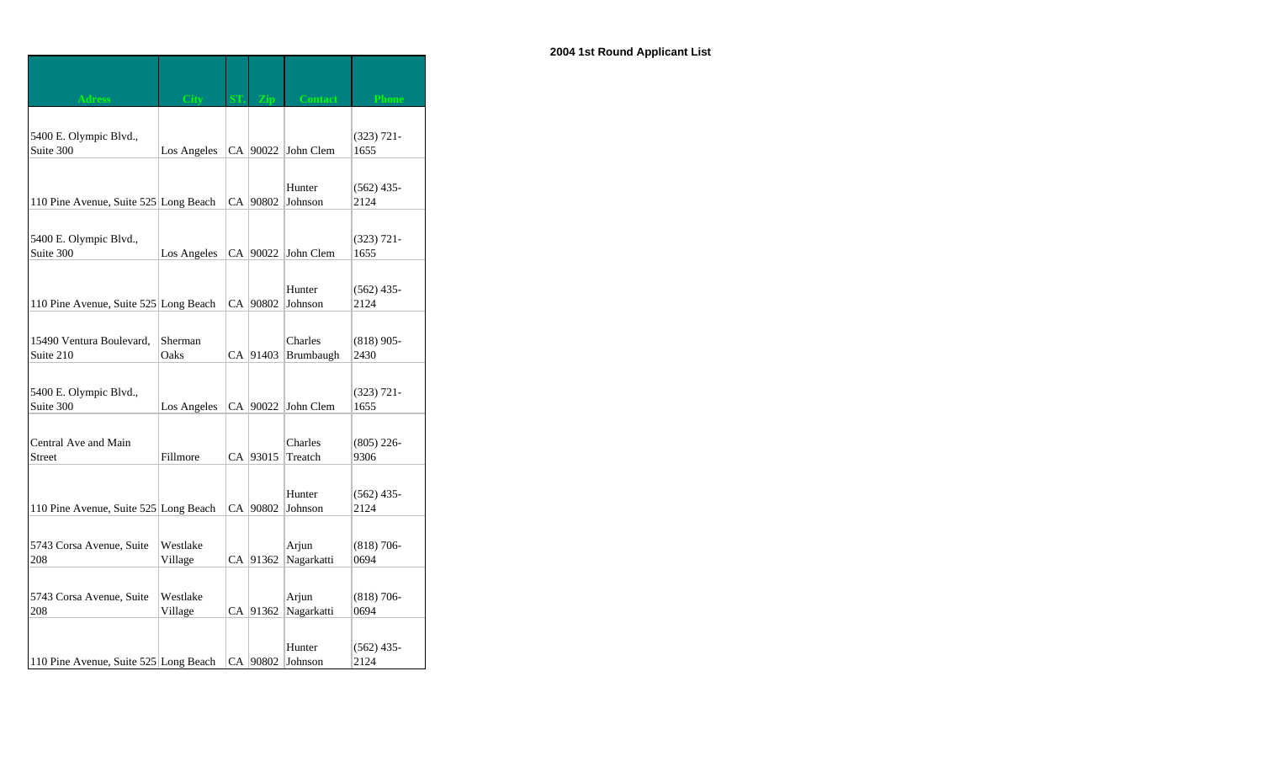| dress                                 | City                |            | Contact              | Phone                 |
|---------------------------------------|---------------------|------------|----------------------|-----------------------|
|                                       |                     |            |                      |                       |
| 5400 E. Olympic Blvd.,<br>Suite 300   | Los Angeles         |            | CA 90022 John Clem   | $(323)$ 721-<br>1655  |
|                                       |                     |            |                      |                       |
| 110 Pine Avenue, Suite 525 Long Beach |                     | CA   90802 | Hunter<br>Johnson    | $(562)$ 435-<br>2124  |
|                                       |                     |            |                      |                       |
| 5400 E. Olympic Blvd.,<br>Suite 300   | Los Angeles         | CA 90022   | John Clem            | $(323)$ 721-<br>1655  |
|                                       |                     |            |                      |                       |
| 110 Pine Avenue, Suite 525 Long Beach |                     | CA   90802 | Hunter<br>Johnson    | $(562)$ 435-<br>2124  |
|                                       |                     |            |                      |                       |
| 15490 Ventura Boulevard,<br>Suite 210 | Sherman<br>Oaks     | CA 91403   | Charles<br>Brumbaugh | $(818)$ 905-<br>2430  |
|                                       |                     |            |                      |                       |
| 5400 E. Olympic Blvd.,<br>Suite 300   | Los Angeles         | CA 90022   | John Clem            | $(323) 721 -$<br>1655 |
|                                       |                     |            |                      |                       |
| Central Ave and Main<br><b>Street</b> | Fillmore            | CA 93015   | Charles<br>Treatch   | $(805)$ 226-<br>9306  |
|                                       |                     |            |                      |                       |
| 110 Pine Avenue, Suite 525 Long Beach |                     | CA   90802 | Hunter<br>Johnson    | $(562)$ 435-<br>2124  |
|                                       |                     |            |                      |                       |
| 5743 Corsa Avenue, Suite<br>208       | Westlake<br>Village | CA 91362   | Arjun<br>Nagarkatti  | $(818)$ 706-<br>0694  |
|                                       |                     |            |                      |                       |
| 5743 Corsa Avenue, Suite<br>208       | Westlake<br>Village | CA 91362   | Arjun<br>Nagarkatti  | $(818)$ 706-<br>0694  |
|                                       |                     |            |                      |                       |
| 110 Pine Avenue, Suite 525 Long Beach |                     | CA   90802 | Hunter<br>Johnson    | $(562)$ 435-<br>2124  |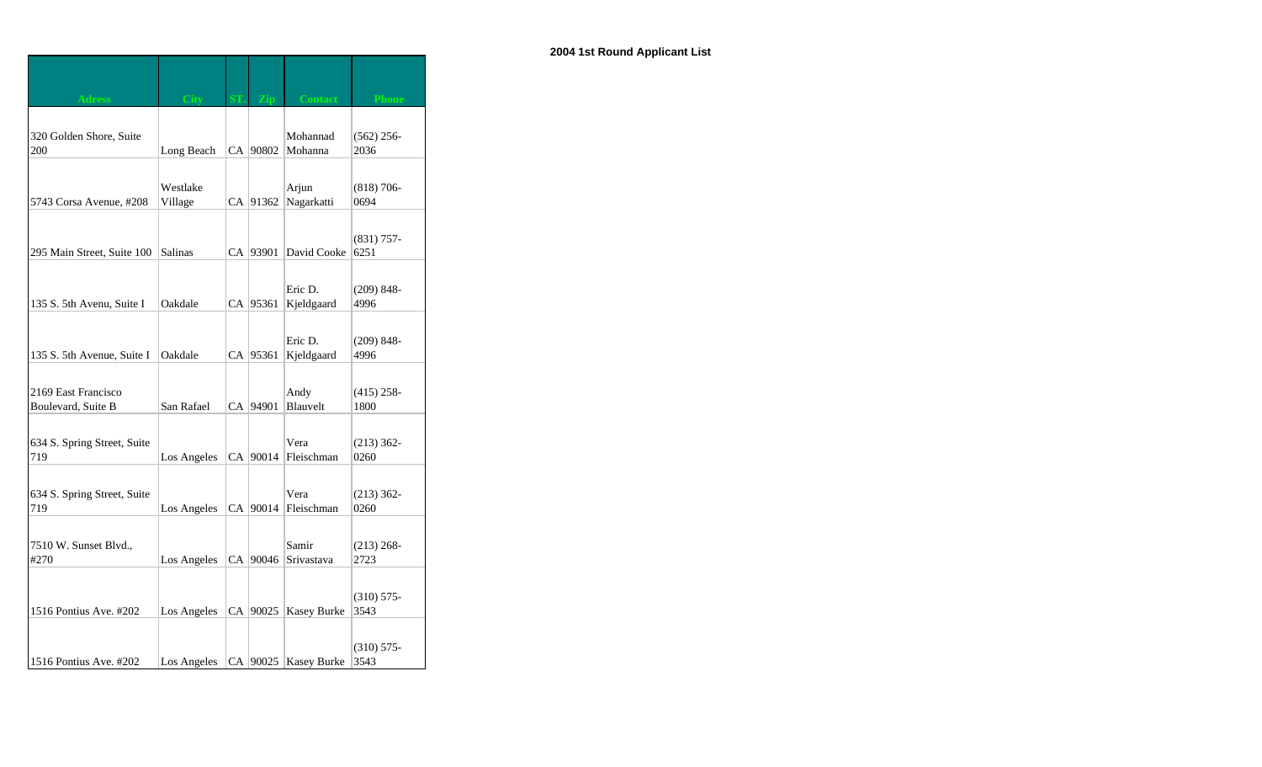| <b>Adress</b>               | City           |            | <b>Contact</b>        | <b>Phone</b>          |
|-----------------------------|----------------|------------|-----------------------|-----------------------|
| 320 Golden Shore, Suite     |                |            | Mohannad              | $(562)$ 256-          |
| 200                         | Long Beach     | CA   90802 | Mohanna               | 2036                  |
|                             |                |            |                       |                       |
|                             | Westlake       |            | Arjun                 | $(818) 706 -$         |
| 5743 Corsa Avenue, #208     | Village        | CA 91362   | Nagarkatti            | 0694                  |
|                             |                |            |                       |                       |
|                             |                |            |                       | $(831)$ 757-          |
| 295 Main Street, Suite 100  | <b>Salinas</b> | CA 93901   | David Cooke           | 6251                  |
|                             |                |            |                       |                       |
|                             |                |            | Eric D.               | $(209) 848 -$         |
| 135 S. 5th Avenu, Suite I   | Oakdale        | CA   95361 | Kjeldgaard            | 4996                  |
|                             |                |            |                       |                       |
| 135 S. 5th Avenue, Suite I  | Oakdale        | CA 95361   | Eric D.<br>Kjeldgaard | $(209) 848 -$<br>4996 |
|                             |                |            |                       |                       |
| 2169 East Francisco         |                |            | Andy                  | $(415)$ 258-          |
| Boulevard, Suite B          | San Rafael     | CA 94901   | Blauvelt              | 1800                  |
|                             |                |            |                       |                       |
| 634 S. Spring Street, Suite |                |            | Vera                  | $(213) 362 -$         |
| 719                         | Los Angeles    | CA 90014   | Fleischman            | 0260                  |
|                             |                |            |                       |                       |
| 634 S. Spring Street, Suite |                |            | Vera                  | $(213)$ 362-          |
| 719                         | Los Angeles    | CA 90014   | Fleischman            | 0260                  |
|                             |                |            |                       |                       |
| 7510 W. Sunset Blvd.,       |                |            | Samir                 | $(213) 268 -$         |
| #270                        | Los Angeles    | CA   90046 | Srivastava            | 2723                  |
|                             |                |            |                       |                       |
|                             |                |            |                       | $(310) 575 -$         |
| 1516 Pontius Ave. #202      | Los Angeles    | CA 90025   | <b>Kasey Burke</b>    | 3543                  |
|                             |                |            |                       |                       |
|                             |                |            |                       | $(310)$ 575-          |
| 1516 Pontius Ave. #202      | Los Angeles    |            | CA 90025 Kasey Burke  | 3543                  |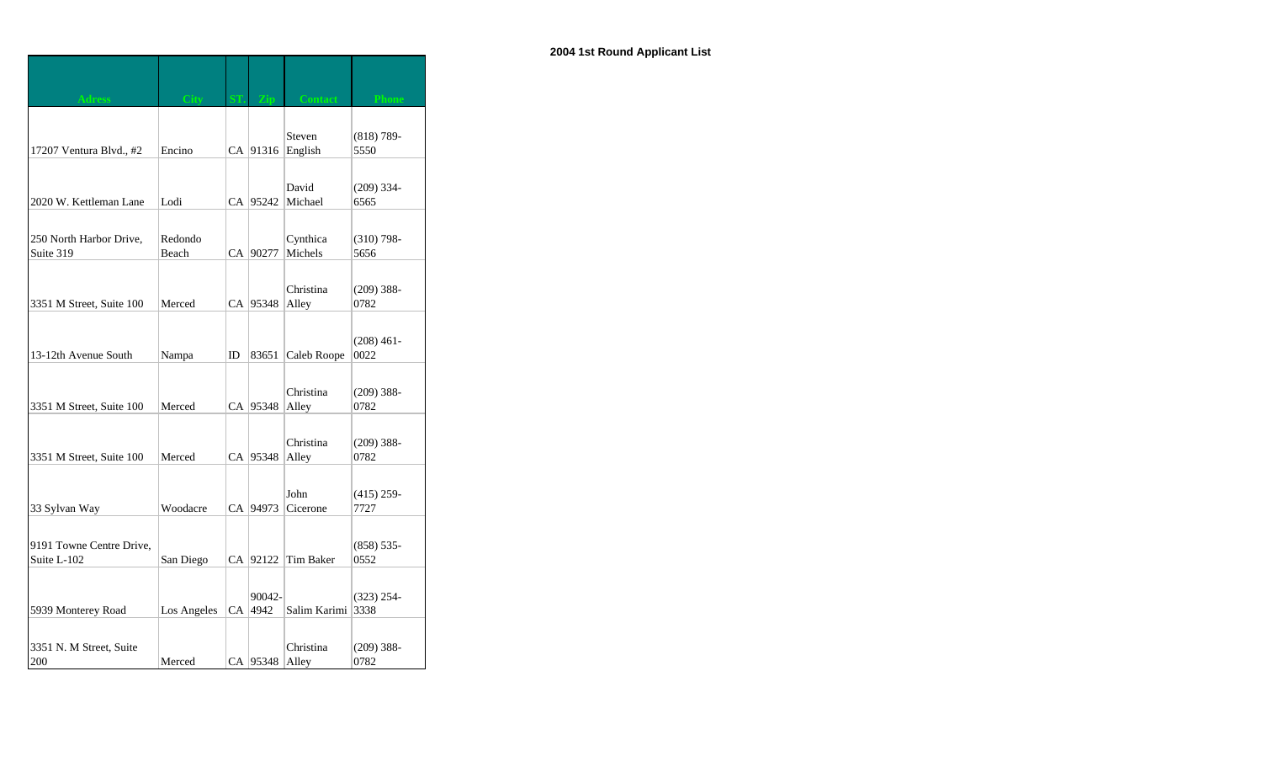| <b>Adress</b>            | <b>City</b> |    |            | <b>Contact</b> | <b>Phone</b>  |
|--------------------------|-------------|----|------------|----------------|---------------|
|                          |             |    |            |                |               |
|                          |             |    |            | Steven         | $(818) 789-$  |
| 17207 Ventura Blvd., #2  | Encino      |    | CA 91316   | English        | 5550          |
|                          |             |    |            |                |               |
|                          |             |    |            | David          | $(209)$ 334-  |
| 2020 W. Kettleman Lane   | Lodi        |    | CA 95242   | Michael        | 6565          |
|                          |             |    |            |                |               |
| 250 North Harbor Drive,  | Redondo     |    |            | Cynthica       | $(310)$ 798-  |
| Suite 319                | Beach       |    | CA 90277   | Michels        | 5656          |
|                          |             |    |            |                |               |
|                          |             |    |            | Christina      | $(209)$ 388-  |
| 3351 M Street, Suite 100 | Merced      |    | CA 95348   | Alley          | 0782          |
|                          |             |    |            |                |               |
|                          |             |    |            |                | $(208)$ 461-  |
| 13-12th Avenue South     | Nampa       | ID | 83651      | Caleb Roope    | 0022          |
|                          |             |    |            |                |               |
|                          |             |    |            | Christina      | $(209)$ 388-  |
| 3351 M Street, Suite 100 | Merced      |    | CA   95348 | Alley          | 0782          |
|                          |             |    |            |                |               |
|                          |             |    |            | Christina      | $(209)$ 388-  |
| 3351 M Street, Suite 100 | Merced      |    | CA 95348   | Alley          | 0782          |
|                          |             |    |            |                |               |
|                          |             |    |            | John           | $(415)$ 259-  |
| 33 Sylvan Way            | Woodacre    |    | CA   94973 | Cicerone       | 7727          |
|                          |             |    |            |                |               |
| 9191 Towne Centre Drive, |             |    |            |                | $(858) 535 -$ |
| Suite L-102              | San Diego   |    | CA 92122   | Tim Baker      | 0552          |
|                          |             |    |            |                |               |
|                          |             |    | 90042-     |                | $(323)$ 254-  |
| 5939 Monterey Road       | Los Angeles |    | CA 4942    | Salim Karimi   | 3338          |
|                          |             |    |            |                |               |
| 3351 N. M Street, Suite  |             |    |            | Christina      | $(209)$ 388-  |
| 200                      | Merced      |    | CA 95348   | Alley          | 0782          |